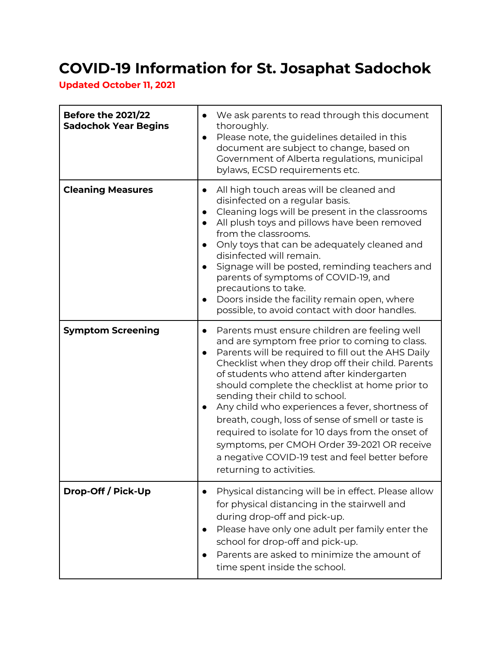## **COVID-19 Information for St. Josaphat Sadochok**

**Updated October 11, 2021**

| <b>Before the 2021/22</b><br><b>Sadochok Year Begins</b> | We ask parents to read through this document<br>$\bullet$<br>thoroughly.<br>Please note, the guidelines detailed in this<br>$\bullet$<br>document are subject to change, based on<br>Government of Alberta regulations, municipal<br>bylaws, ECSD requirements etc.                                                                                                                                                                                                                                                                                                                                                                                                           |
|----------------------------------------------------------|-------------------------------------------------------------------------------------------------------------------------------------------------------------------------------------------------------------------------------------------------------------------------------------------------------------------------------------------------------------------------------------------------------------------------------------------------------------------------------------------------------------------------------------------------------------------------------------------------------------------------------------------------------------------------------|
| <b>Cleaning Measures</b>                                 | All high touch areas will be cleaned and<br>$\bullet$<br>disinfected on a regular basis.<br>Cleaning logs will be present in the classrooms<br>$\bullet$<br>All plush toys and pillows have been removed<br>$\bullet$<br>from the classrooms.<br>Only toys that can be adequately cleaned and<br>$\bullet$<br>disinfected will remain.<br>Signage will be posted, reminding teachers and<br>$\bullet$<br>parents of symptoms of COVID-19, and<br>precautions to take.<br>Doors inside the facility remain open, where<br>$\bullet$<br>possible, to avoid contact with door handles.                                                                                           |
| <b>Symptom Screening</b>                                 | Parents must ensure children are feeling well<br>$\bullet$<br>and are symptom free prior to coming to class.<br>Parents will be required to fill out the AHS Daily<br>$\bullet$<br>Checklist when they drop off their child. Parents<br>of students who attend after kindergarten<br>should complete the checklist at home prior to<br>sending their child to school.<br>Any child who experiences a fever, shortness of<br>$\bullet$<br>breath, cough, loss of sense of smell or taste is<br>required to isolate for 10 days from the onset of<br>symptoms, per CMOH Order 39-2021 OR receive<br>a negative COVID-19 test and feel better before<br>returning to activities. |
| Drop-Off / Pick-Up                                       | Physical distancing will be in effect. Please allow<br>$\bullet$<br>for physical distancing in the stairwell and<br>during drop-off and pick-up.<br>Please have only one adult per family enter the<br>$\bullet$<br>school for drop-off and pick-up.<br>Parents are asked to minimize the amount of<br>$\bullet$<br>time spent inside the school.                                                                                                                                                                                                                                                                                                                             |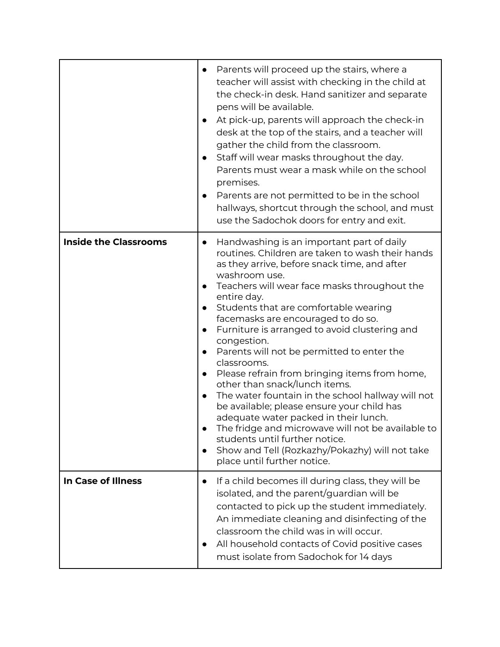|                              | Parents will proceed up the stairs, where a<br>$\bullet$<br>teacher will assist with checking in the child at<br>the check-in desk. Hand sanitizer and separate<br>pens will be available.<br>At pick-up, parents will approach the check-in<br>$\bullet$<br>desk at the top of the stairs, and a teacher will<br>gather the child from the classroom.<br>Staff will wear masks throughout the day.<br>$\bullet$<br>Parents must wear a mask while on the school<br>premises.<br>Parents are not permitted to be in the school<br>$\bullet$<br>hallways, shortcut through the school, and must<br>use the Sadochok doors for entry and exit.                                                                                                                                                                                                                                                                                                                         |
|------------------------------|----------------------------------------------------------------------------------------------------------------------------------------------------------------------------------------------------------------------------------------------------------------------------------------------------------------------------------------------------------------------------------------------------------------------------------------------------------------------------------------------------------------------------------------------------------------------------------------------------------------------------------------------------------------------------------------------------------------------------------------------------------------------------------------------------------------------------------------------------------------------------------------------------------------------------------------------------------------------|
| <b>Inside the Classrooms</b> | Handwashing is an important part of daily<br>$\bullet$<br>routines. Children are taken to wash their hands<br>as they arrive, before snack time, and after<br>washroom use.<br>Teachers will wear face masks throughout the<br>$\bullet$<br>entire day.<br>Students that are comfortable wearing<br>$\bullet$<br>facemasks are encouraged to do so.<br>Furniture is arranged to avoid clustering and<br>$\bullet$<br>congestion.<br>Parents will not be permitted to enter the<br>$\bullet$<br>classrooms.<br>Please refrain from bringing items from home,<br>$\bullet$<br>other than snack/lunch items.<br>The water fountain in the school hallway will not<br>$\bullet$<br>be available; please ensure your child has<br>adequate water packed in their lunch.<br>The fridge and microwave will not be available to<br>$\bullet$<br>students until further notice.<br>Show and Tell (Rozkazhy/Pokazhy) will not take<br>$\bullet$<br>place until further notice. |
| <b>In Case of Illness</b>    | If a child becomes ill during class, they will be<br>$\bullet$<br>isolated, and the parent/guardian will be<br>contacted to pick up the student immediately.<br>An immediate cleaning and disinfecting of the<br>classroom the child was in will occur.<br>All household contacts of Covid positive cases<br>$\bullet$<br>must isolate from Sadochok for 14 days                                                                                                                                                                                                                                                                                                                                                                                                                                                                                                                                                                                                     |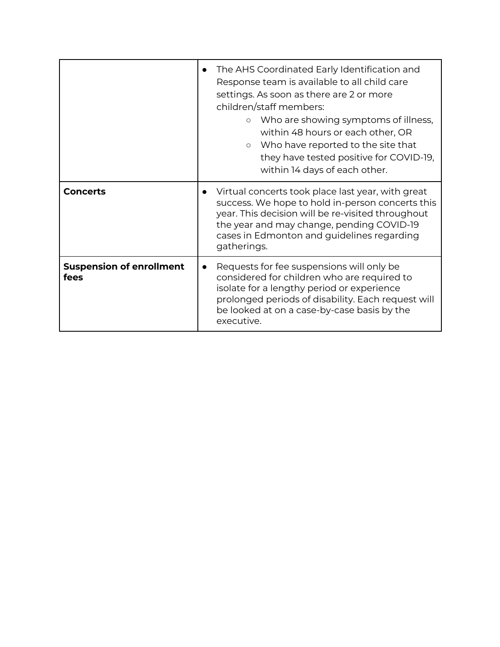|                                         | The AHS Coordinated Early Identification and<br>Response team is available to all child care<br>settings. As soon as there are 2 or more<br>children/staff members:<br>Who are showing symptoms of illness,<br>$\circ$<br>within 48 hours or each other, OR<br>○ Who have reported to the site that<br>they have tested positive for COVID-19,<br>within 14 days of each other. |
|-----------------------------------------|---------------------------------------------------------------------------------------------------------------------------------------------------------------------------------------------------------------------------------------------------------------------------------------------------------------------------------------------------------------------------------|
| <b>Concerts</b>                         | Virtual concerts took place last year, with great<br>$\bullet$<br>success. We hope to hold in-person concerts this<br>year. This decision will be re-visited throughout<br>the year and may change, pending COVID-19<br>cases in Edmonton and guidelines regarding<br>gatherings.                                                                                               |
| <b>Suspension of enrollment</b><br>fees | Requests for fee suspensions will only be<br>$\bullet$<br>considered for children who are required to<br>isolate for a lengthy period or experience<br>prolonged periods of disability. Each request will<br>be looked at on a case-by-case basis by the<br>executive.                                                                                                          |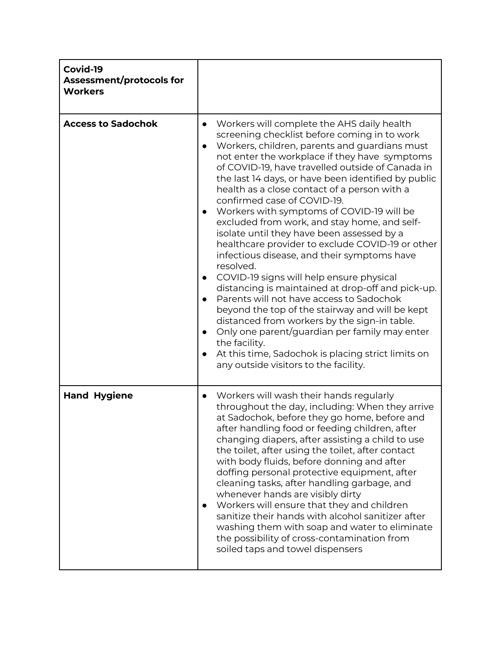| Covid-19<br>Assessment/protocols for<br><b>Workers</b> |                                                                                                                                                                                                                                                                                                                                                                                                                                                                                                                                                                                                                                                                                                                                                                                                                                                                                                                                                                                                                                                                                                                                     |
|--------------------------------------------------------|-------------------------------------------------------------------------------------------------------------------------------------------------------------------------------------------------------------------------------------------------------------------------------------------------------------------------------------------------------------------------------------------------------------------------------------------------------------------------------------------------------------------------------------------------------------------------------------------------------------------------------------------------------------------------------------------------------------------------------------------------------------------------------------------------------------------------------------------------------------------------------------------------------------------------------------------------------------------------------------------------------------------------------------------------------------------------------------------------------------------------------------|
| <b>Access to Sadochok</b>                              | Workers will complete the AHS daily health<br>$\bullet$<br>screening checklist before coming in to work<br>Workers, children, parents and guardians must<br>$\bullet$<br>not enter the workplace if they have symptoms<br>of COVID-19, have travelled outside of Canada in<br>the last 14 days, or have been identified by public<br>health as a close contact of a person with a<br>confirmed case of COVID-19.<br>Workers with symptoms of COVID-19 will be<br>$\bullet$<br>excluded from work, and stay home, and self-<br>isolate until they have been assessed by a<br>healthcare provider to exclude COVID-19 or other<br>infectious disease, and their symptoms have<br>resolved.<br>COVID-19 signs will help ensure physical<br>distancing is maintained at drop-off and pick-up.<br>Parents will not have access to Sadochok<br>beyond the top of the stairway and will be kept<br>distanced from workers by the sign-in table.<br>Only one parent/guardian per family may enter<br>$\bullet$<br>the facility.<br>At this time, Sadochok is placing strict limits on<br>$\bullet$<br>any outside visitors to the facility. |
| <b>Hand Hygiene</b>                                    | Workers will wash their hands regularly<br>$\bullet$<br>throughout the day, including: When they arrive<br>at Sadochok, before they go home, before and<br>after handling food or feeding children, after<br>changing diapers, after assisting a child to use<br>the toilet, after using the toilet, after contact<br>with body fluids, before donning and after<br>doffing personal protective equipment, after<br>cleaning tasks, after handling garbage, and<br>whenever hands are visibly dirty<br>Workers will ensure that they and children<br>$\bullet$<br>sanitize their hands with alcohol sanitizer after<br>washing them with soap and water to eliminate<br>the possibility of cross-contamination from<br>soiled taps and towel dispensers                                                                                                                                                                                                                                                                                                                                                                             |